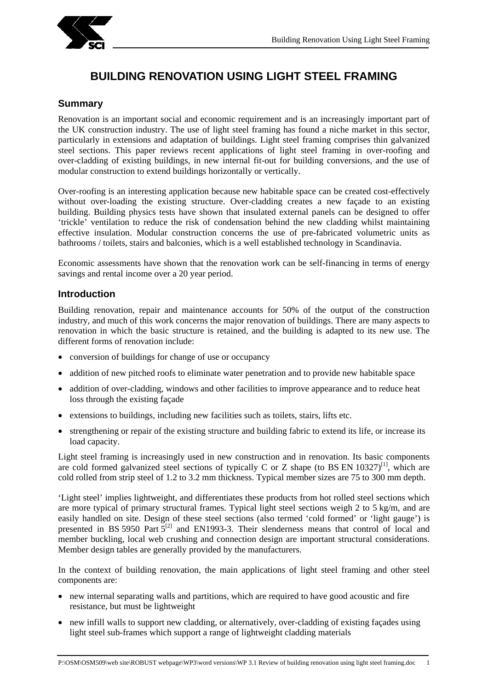

# **BUILDING RENOVATION USING LIGHT STEEL FRAMING**

#### **Summary**

Renovation is an important social and economic requirement and is an increasingly important part of the UK construction industry. The use of light steel framing has found a niche market in this sector, particularly in extensions and adaptation of buildings. Light steel framing comprises thin galvanized steel sections. This paper reviews recent applications of light steel framing in over-roofing and over-cladding of existing buildings, in new internal fit-out for building conversions, and the use of modular construction to extend buildings horizontally or vertically.

Over-roofing is an interesting application because new habitable space can be created cost-effectively without over-loading the existing structure. Over-cladding creates a new façade to an existing building. Building physics tests have shown that insulated external panels can be designed to offer 'trickle' ventilation to reduce the risk of condensation behind the new cladding whilst maintaining effective insulation. Modular construction concerns the use of pre-fabricated volumetric units as bathrooms / toilets, stairs and balconies, which is a well established technology in Scandinavia.

Economic assessments have shown that the renovation work can be self-financing in terms of energy savings and rental income over a 20 year period.

#### **Introduction**

Building renovation, repair and maintenance accounts for 50% of the output of the construction industry, and much of this work concerns the major renovation of buildings. There are many aspects to renovation in which the basic structure is retained, and the building is adapted to its new use. The different forms of renovation include:

- conversion of buildings for change of use or occupancy
- addition of new pitched roofs to eliminate water penetration and to provide new habitable space
- addition of over-cladding, windows and other facilities to improve appearance and to reduce heat loss through the existing façade
- extensions to buildings, including new facilities such as toilets, stairs, lifts etc.
- strengthening or repair of the existing structure and building fabric to extend its life, or increase its load capacity.

Light steel framing is increasingly used in new construction and in renovation. Its basic components are cold formed galvanized steel sections of typically C or Z shape (to BS EN 10327)<sup>[1]</sup>, which are cold rolled from strip steel of 1.2 to 3.2 mm thickness. Typical member sizes are 75 to 300 mm depth.

'Light steel' implies lightweight, and differentiates these products from hot rolled steel sections which are more typical of primary structural frames. Typical light steel sections weigh 2 to 5 kg/m, and are easily handled on site. Design of these steel sections (also termed 'cold formed' or 'light gauge') is presented in BS 5950 Part  $5^{[2]}$  and EN1993-3. Their slenderness means that control of local and member buckling, local web crushing and connection design are important structural considerations. Member design tables are generally provided by the manufacturers.

In the context of building renovation, the main applications of light steel framing and other steel components are:

- new internal separating walls and partitions, which are required to have good acoustic and fire resistance, but must be lightweight
- new infill walls to support new cladding, or alternatively, over-cladding of existing façades using light steel sub-frames which support a range of lightweight cladding materials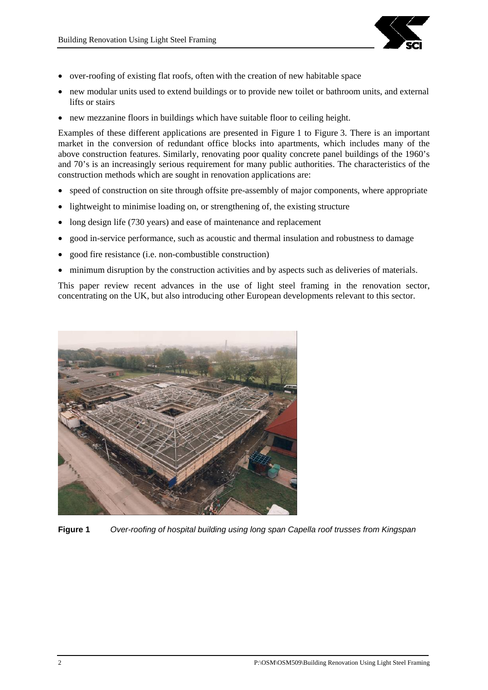

- over-roofing of existing flat roofs, often with the creation of new habitable space
- new modular units used to extend buildings or to provide new toilet or bathroom units, and external lifts or stairs
- new mezzanine floors in buildings which have suitable floor to ceiling height.

Examples of these different applications are presented in Figure 1 to Figure 3. There is an important market in the conversion of redundant office blocks into apartments, which includes many of the above construction features. Similarly, renovating poor quality concrete panel buildings of the 1960's and 70's is an increasingly serious requirement for many public authorities. The characteristics of the construction methods which are sought in renovation applications are:

- speed of construction on site through offsite pre-assembly of major components, where appropriate
- lightweight to minimise loading on, or strengthening of, the existing structure
- long design life (730 years) and ease of maintenance and replacement
- good in-service performance, such as acoustic and thermal insulation and robustness to damage
- good fire resistance (i.e. non-combustible construction)
- minimum disruption by the construction activities and by aspects such as deliveries of materials.

This paper review recent advances in the use of light steel framing in the renovation sector, concentrating on the UK, but also introducing other European developments relevant to this sector.



**Figure 1** *Over-roofing of hospital building using long span Capella roof trusses from Kingspan*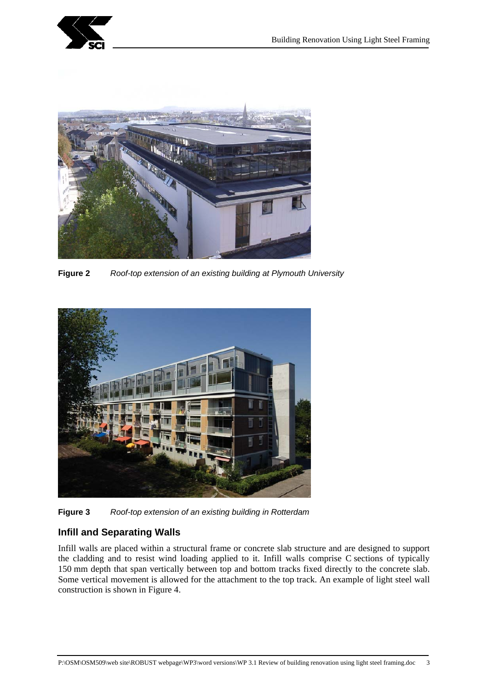



**Figure 2** *Roof-top extension of an existing building at Plymouth University*



**Figure 3** *Roof-top extension of an existing building in Rotterdam*

# **Infill and Separating Walls**

Infill walls are placed within a structural frame or concrete slab structure and are designed to support the cladding and to resist wind loading applied to it. Infill walls comprise C sections of typically 150 mm depth that span vertically between top and bottom tracks fixed directly to the concrete slab. Some vertical movement is allowed for the attachment to the top track. An example of light steel wall construction is shown in Figure 4.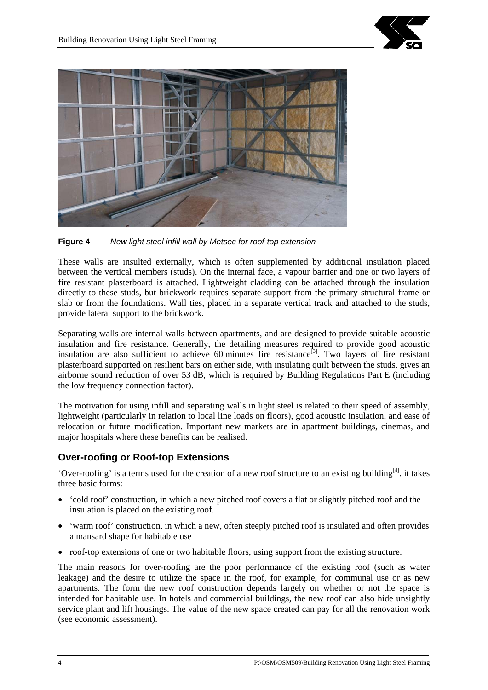



**Figure 4** *New light steel infill wall by Metsec for roof-top extension*

These walls are insulted externally, which is often supplemented by additional insulation placed between the vertical members (studs). On the internal face, a vapour barrier and one or two layers of fire resistant plasterboard is attached. Lightweight cladding can be attached through the insulation directly to these studs, but brickwork requires separate support from the primary structural frame or slab or from the foundations. Wall ties, placed in a separate vertical track and attached to the studs, provide lateral support to the brickwork.

Separating walls are internal walls between apartments, and are designed to provide suitable acoustic insulation and fire resistance. Generally, the detailing measures required to provide good acoustic insulation are also sufficient to achieve 60 minutes fire resistance<sup>[3]</sup>. Two layers of fire resistant plasterboard supported on resilient bars on either side, with insulating quilt between the studs, gives an airborne sound reduction of over 53 dB, which is required by Building Regulations Part E (including the low frequency connection factor).

The motivation for using infill and separating walls in light steel is related to their speed of assembly, lightweight (particularly in relation to local line loads on floors), good acoustic insulation, and ease of relocation or future modification. Important new markets are in apartment buildings, cinemas, and major hospitals where these benefits can be realised.

## **Over-roofing or Roof-top Extensions**

'Over-roofing' is a terms used for the creation of a new roof structure to an existing building[4]. it takes three basic forms:

- 'cold roof' construction, in which a new pitched roof covers a flat or slightly pitched roof and the insulation is placed on the existing roof.
- 'warm roof' construction, in which a new, often steeply pitched roof is insulated and often provides a mansard shape for habitable use
- roof-top extensions of one or two habitable floors, using support from the existing structure.

The main reasons for over-roofing are the poor performance of the existing roof (such as water leakage) and the desire to utilize the space in the roof, for example, for communal use or as new apartments. The form the new roof construction depends largely on whether or not the space is intended for habitable use. In hotels and commercial buildings, the new roof can also hide unsightly service plant and lift housings. The value of the new space created can pay for all the renovation work (see economic assessment).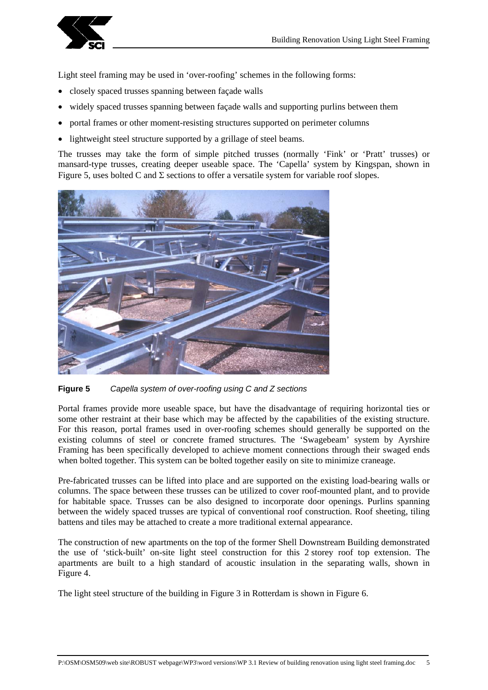

Light steel framing may be used in 'over-roofing' schemes in the following forms:

- closely spaced trusses spanning between façade walls
- widely spaced trusses spanning between façade walls and supporting purlins between them
- portal frames or other moment-resisting structures supported on perimeter columns
- lightweight steel structure supported by a grillage of steel beams.

The trusses may take the form of simple pitched trusses (normally 'Fink' or 'Pratt' trusses) or mansard-type trusses, creating deeper useable space. The 'Capella' system by Kingspan, shown in Figure 5, uses bolted C and  $\Sigma$  sections to offer a versatile system for variable roof slopes.





Portal frames provide more useable space, but have the disadvantage of requiring horizontal ties or some other restraint at their base which may be affected by the capabilities of the existing structure. For this reason, portal frames used in over-roofing schemes should generally be supported on the existing columns of steel or concrete framed structures. The 'Swagebeam' system by Ayrshire Framing has been specifically developed to achieve moment connections through their swaged ends when bolted together. This system can be bolted together easily on site to minimize craneage.

Pre-fabricated trusses can be lifted into place and are supported on the existing load-bearing walls or columns. The space between these trusses can be utilized to cover roof-mounted plant, and to provide for habitable space. Trusses can be also designed to incorporate door openings. Purlins spanning between the widely spaced trusses are typical of conventional roof construction. Roof sheeting, tiling battens and tiles may be attached to create a more traditional external appearance.

The construction of new apartments on the top of the former Shell Downstream Building demonstrated the use of 'stick-built' on-site light steel construction for this 2 storey roof top extension. The apartments are built to a high standard of acoustic insulation in the separating walls, shown in Figure 4.

The light steel structure of the building in Figure 3 in Rotterdam is shown in Figure 6.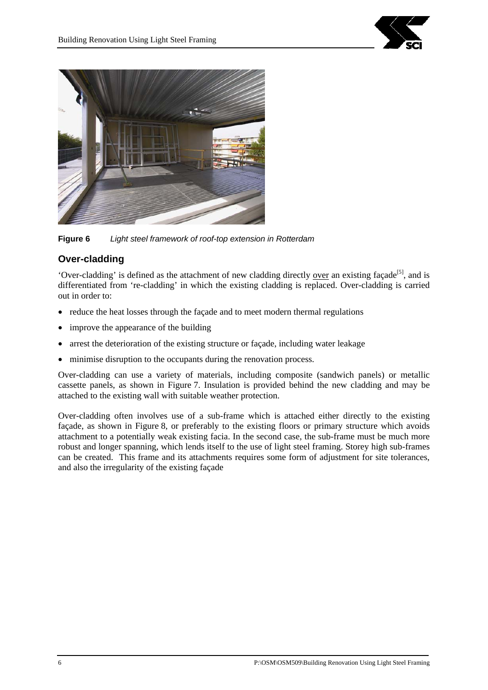



**Figure 6** *Light steel framework of roof-top extension in Rotterdam*

# **Over-cladding**

'Over-cladding' is defined as the attachment of new cladding directly over an existing façade<sup>[5]</sup>, and is differentiated from 're-cladding' in which the existing cladding is replaced. Over-cladding is carried out in order to:

- reduce the heat losses through the façade and to meet modern thermal regulations
- improve the appearance of the building
- arrest the deterioration of the existing structure or façade, including water leakage
- minimise disruption to the occupants during the renovation process.

Over-cladding can use a variety of materials, including composite (sandwich panels) or metallic cassette panels, as shown in Figure 7. Insulation is provided behind the new cladding and may be attached to the existing wall with suitable weather protection.

Over-cladding often involves use of a sub-frame which is attached either directly to the existing façade, as shown in Figure 8, or preferably to the existing floors or primary structure which avoids attachment to a potentially weak existing facia. In the second case, the sub-frame must be much more robust and longer spanning, which lends itself to the use of light steel framing. Storey high sub-frames can be created. This frame and its attachments requires some form of adjustment for site tolerances, and also the irregularity of the existing façade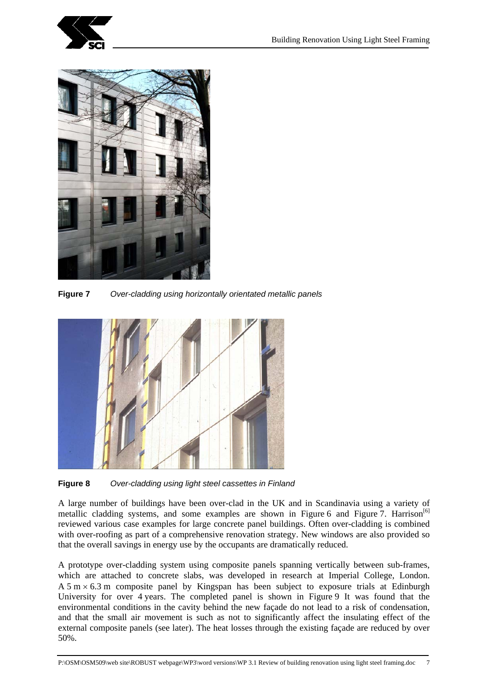



**Figure 7** *Over-cladding using horizontally orientated metallic panels*



**Figure 8** *Over-cladding using light steel cassettes in Finland*

A large number of buildings have been over-clad in the UK and in Scandinavia using a variety of metallic cladding systems, and some examples are shown in Figure 6 and Figure 7. Harrison<sup>[6]</sup> reviewed various case examples for large concrete panel buildings. Often over-cladding is combined with over-roofing as part of a comprehensive renovation strategy. New windows are also provided so that the overall savings in energy use by the occupants are dramatically reduced.

A prototype over-cladding system using composite panels spanning vertically between sub-frames, which are attached to concrete slabs, was developed in research at Imperial College, London. A 5 m  $\times$  6.3 m composite panel by Kingspan has been subject to exposure trials at Edinburgh University for over 4 years. The completed panel is shown in Figure 9 It was found that the environmental conditions in the cavity behind the new façade do not lead to a risk of condensation, and that the small air movement is such as not to significantly affect the insulating effect of the external composite panels (see later). The heat losses through the existing façade are reduced by over 50%.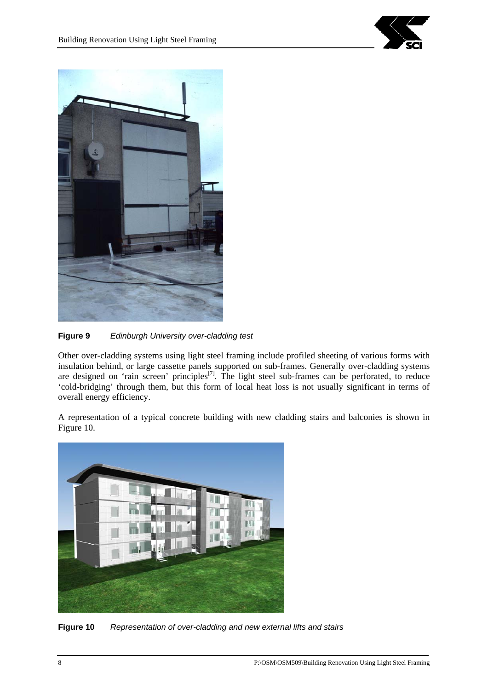



**Figure 9** *Edinburgh University over-cladding test*

Other over-cladding systems using light steel framing include profiled sheeting of various forms with insulation behind, or large cassette panels supported on sub-frames. Generally over-cladding systems are designed on 'rain screen' principles<sup>[7]</sup>. The light steel sub-frames can be perforated, to reduce 'cold-bridging' through them, but this form of local heat loss is not usually significant in terms of overall energy efficiency.

A representation of a typical concrete building with new cladding stairs and balconies is shown in Figure 10.



**Figure 10** *Representation of over-cladding and new external lifts and stairs*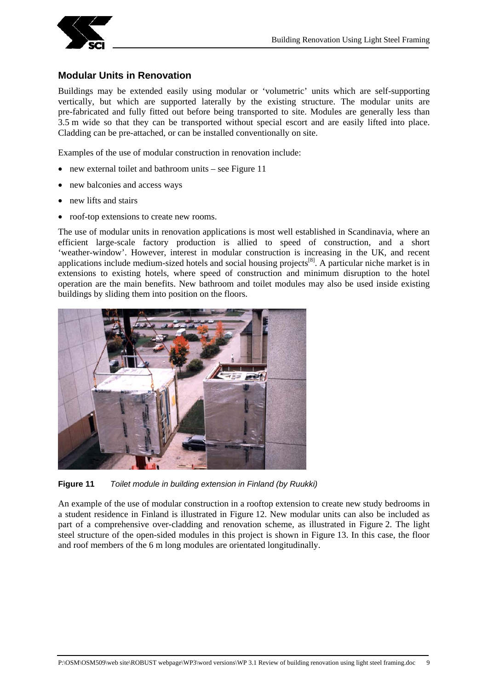

## **Modular Units in Renovation**

Buildings may be extended easily using modular or 'volumetric' units which are self-supporting vertically, but which are supported laterally by the existing structure. The modular units are pre-fabricated and fully fitted out before being transported to site. Modules are generally less than 3.5 m wide so that they can be transported without special escort and are easily lifted into place. Cladding can be pre-attached, or can be installed conventionally on site.

Examples of the use of modular construction in renovation include:

- new external toilet and bathroom units see Figure 11
- new balconies and access ways
- new lifts and stairs
- roof-top extensions to create new rooms.

The use of modular units in renovation applications is most well established in Scandinavia, where an efficient large-scale factory production is allied to speed of construction, and a short 'weather-window'. However, interest in modular construction is increasing in the UK, and recent applications include medium-sized hotels and social housing projects<sup>[8]</sup>. A particular niche market is in extensions to existing hotels, where speed of construction and minimum disruption to the hotel operation are the main benefits. New bathroom and toilet modules may also be used inside existing buildings by sliding them into position on the floors.



**Figure 11** *Toilet module in building extension in Finland (by Ruukki)*

An example of the use of modular construction in a rooftop extension to create new study bedrooms in a student residence in Finland is illustrated in Figure 12. New modular units can also be included as part of a comprehensive over-cladding and renovation scheme, as illustrated in Figure 2. The light steel structure of the open-sided modules in this project is shown in Figure 13. In this case, the floor and roof members of the 6 m long modules are orientated longitudinally.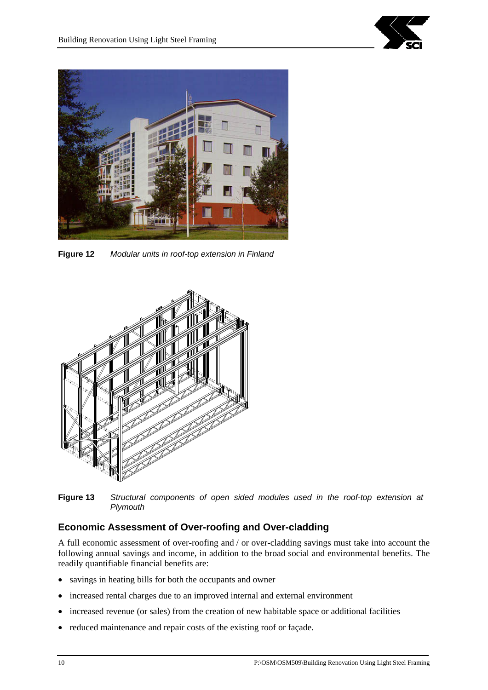



**Figure 12** *Modular units in roof-top extension in Finland*



**Figure 13** *Structural components of open sided modules used in the roof-top extension at Plymouth* 

# **Economic Assessment of Over-roofing and Over-cladding**

A full economic assessment of over-roofing and / or over-cladding savings must take into account the following annual savings and income, in addition to the broad social and environmental benefits. The readily quantifiable financial benefits are:

- savings in heating bills for both the occupants and owner
- increased rental charges due to an improved internal and external environment
- increased revenue (or sales) from the creation of new habitable space or additional facilities
- reduced maintenance and repair costs of the existing roof or façade.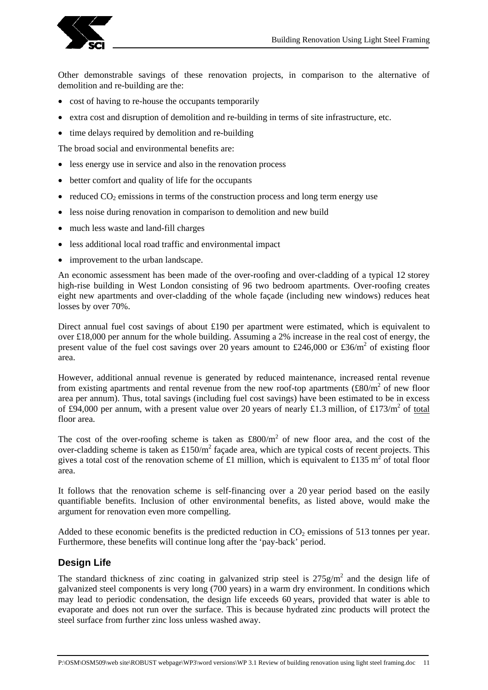

Other demonstrable savings of these renovation projects, in comparison to the alternative of demolition and re-building are the:

- cost of having to re-house the occupants temporarily
- extra cost and disruption of demolition and re-building in terms of site infrastructure, etc.
- time delays required by demolition and re-building

The broad social and environmental benefits are:

- less energy use in service and also in the renovation process
- better comfort and quality of life for the occupants
- reduced  $CO<sub>2</sub>$  emissions in terms of the construction process and long term energy use
- less noise during renovation in comparison to demolition and new build
- much less waste and land-fill charges
- less additional local road traffic and environmental impact
- improvement to the urban landscape.

An economic assessment has been made of the over-roofing and over-cladding of a typical 12 storey high-rise building in West London consisting of 96 two bedroom apartments. Over-roofing creates eight new apartments and over-cladding of the whole façade (including new windows) reduces heat losses by over 70%.

Direct annual fuel cost savings of about £190 per apartment were estimated, which is equivalent to over £18,000 per annum for the whole building. Assuming a 2% increase in the real cost of energy, the present value of the fuel cost savings over 20 years amount to £246,000 or £36/ $m^2$  of existing floor area.

However, additional annual revenue is generated by reduced maintenance, increased rental revenue from existing apartments and rental revenue from the new roof-top apartments  $(\text{\textsterling}80/m^2$  of new floor area per annum). Thus, total savings (including fuel cost savings) have been estimated to be in excess of £94,000 per annum, with a present value over 20 years of nearly £1.3 million, of £173/m<sup>2</sup> of total floor area.

The cost of the over-roofing scheme is taken as  $\text{\pounds}800/m^2$  of new floor area, and the cost of the over-cladding scheme is taken as  $£150/m<sup>2</sup>$  façade area, which are typical costs of recent projects. This gives a total cost of the renovation scheme of £1 million, which is equivalent to £135 m<sup>2</sup> of total floor area.

It follows that the renovation scheme is self-financing over a 20 year period based on the easily quantifiable benefits. Inclusion of other environmental benefits, as listed above, would make the argument for renovation even more compelling.

Added to these economic benefits is the predicted reduction in  $CO<sub>2</sub>$  emissions of 513 tonnes per year. Furthermore, these benefits will continue long after the 'pay-back' period.

## **Design Life**

The standard thickness of zinc coating in galvanized strip steel is  $275 \text{g/m}^2$  and the design life of galvanized steel components is very long (700 years) in a warm dry environment. In conditions which may lead to periodic condensation, the design life exceeds 60 years, provided that water is able to evaporate and does not run over the surface. This is because hydrated zinc products will protect the steel surface from further zinc loss unless washed away.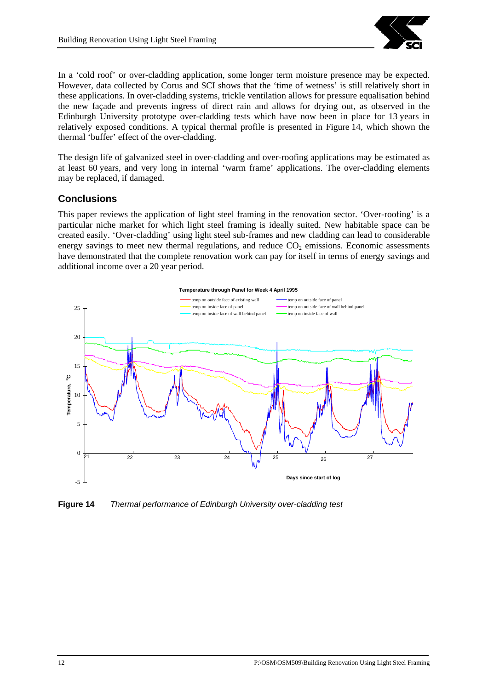

In a 'cold roof' or over-cladding application, some longer term moisture presence may be expected. However, data collected by Corus and SCI shows that the 'time of wetness' is still relatively short in these applications. In over-cladding systems, trickle ventilation allows for pressure equalisation behind the new façade and prevents ingress of direct rain and allows for drying out, as observed in the Edinburgh University prototype over-cladding tests which have now been in place for 13 years in relatively exposed conditions. A typical thermal profile is presented in Figure 14, which shown the thermal 'buffer' effect of the over-cladding.

The design life of galvanized steel in over-cladding and over-roofing applications may be estimated as at least 60 years, and very long in internal 'warm frame' applications. The over-cladding elements may be replaced, if damaged.

#### **Conclusions**

This paper reviews the application of light steel framing in the renovation sector. 'Over-roofing' is a particular niche market for which light steel framing is ideally suited. New habitable space can be created easily. 'Over-cladding' using light steel sub-frames and new cladding can lead to considerable energy savings to meet new thermal regulations, and reduce  $CO<sub>2</sub>$  emissions. Economic assessments have demonstrated that the complete renovation work can pay for itself in terms of energy savings and additional income over a 20 year period.



**Figure 14** *Thermal performance of Edinburgh University over-cladding test*